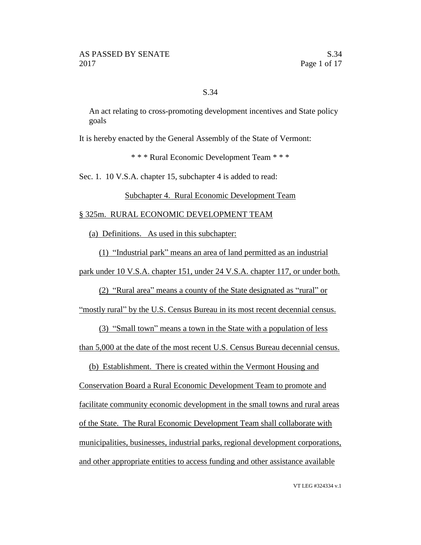## S.34

An act relating to cross-promoting development incentives and State policy goals

It is hereby enacted by the General Assembly of the State of Vermont:

\* \* \* Rural Economic Development Team \* \* \*

Sec. 1. 10 V.S.A. chapter 15, subchapter 4 is added to read:

Subchapter 4. Rural Economic Development Team

#### § 325m. RURAL ECONOMIC DEVELOPMENT TEAM

(a) Definitions. As used in this subchapter:

(1) "Industrial park" means an area of land permitted as an industrial

park under 10 V.S.A. chapter 151, under 24 V.S.A. chapter 117, or under both.

(2) "Rural area" means a county of the State designated as "rural" or

"mostly rural" by the U.S. Census Bureau in its most recent decennial census.

(3) "Small town" means a town in the State with a population of less

than 5,000 at the date of the most recent U.S. Census Bureau decennial census.

(b) Establishment. There is created within the Vermont Housing and

Conservation Board a Rural Economic Development Team to promote and facilitate community economic development in the small towns and rural areas of the State. The Rural Economic Development Team shall collaborate with municipalities, businesses, industrial parks, regional development corporations, and other appropriate entities to access funding and other assistance available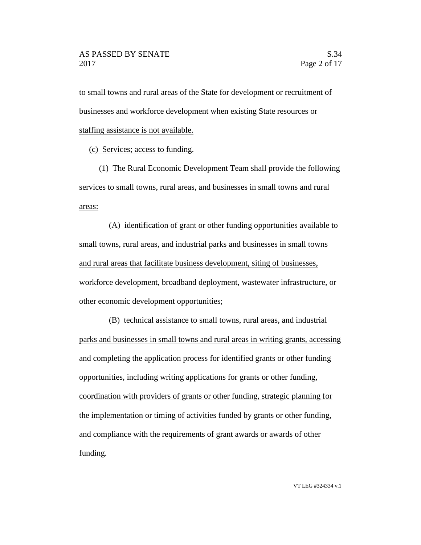to small towns and rural areas of the State for development or recruitment of businesses and workforce development when existing State resources or staffing assistance is not available.

(c) Services; access to funding.

(1) The Rural Economic Development Team shall provide the following services to small towns, rural areas, and businesses in small towns and rural areas:

(A) identification of grant or other funding opportunities available to small towns, rural areas, and industrial parks and businesses in small towns and rural areas that facilitate business development, siting of businesses, workforce development, broadband deployment, wastewater infrastructure, or other economic development opportunities;

(B) technical assistance to small towns, rural areas, and industrial parks and businesses in small towns and rural areas in writing grants, accessing and completing the application process for identified grants or other funding opportunities, including writing applications for grants or other funding, coordination with providers of grants or other funding, strategic planning for the implementation or timing of activities funded by grants or other funding, and compliance with the requirements of grant awards or awards of other funding.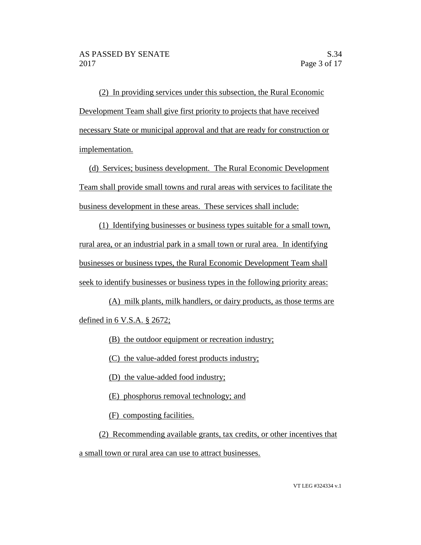(2) In providing services under this subsection, the Rural Economic Development Team shall give first priority to projects that have received necessary State or municipal approval and that are ready for construction or implementation.

(d) Services; business development. The Rural Economic Development Team shall provide small towns and rural areas with services to facilitate the business development in these areas. These services shall include:

(1) Identifying businesses or business types suitable for a small town, rural area, or an industrial park in a small town or rural area. In identifying businesses or business types, the Rural Economic Development Team shall seek to identify businesses or business types in the following priority areas:

(A) milk plants, milk handlers, or dairy products, as those terms are defined in 6 V.S.A. § 2672;

(B) the outdoor equipment or recreation industry;

(C) the value-added forest products industry;

(D) the value-added food industry;

(E) phosphorus removal technology; and

(F) composting facilities.

(2) Recommending available grants, tax credits, or other incentives that a small town or rural area can use to attract businesses.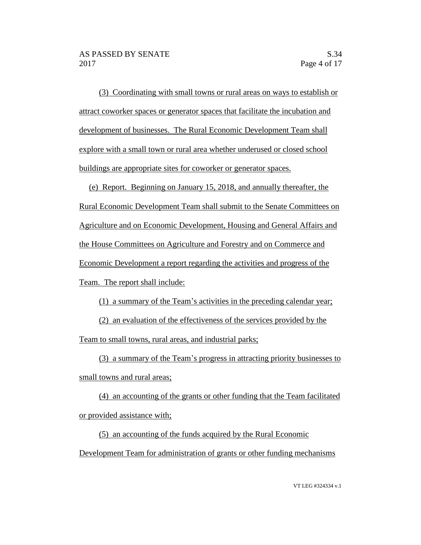(3) Coordinating with small towns or rural areas on ways to establish or attract coworker spaces or generator spaces that facilitate the incubation and development of businesses. The Rural Economic Development Team shall explore with a small town or rural area whether underused or closed school buildings are appropriate sites for coworker or generator spaces.

(e) Report. Beginning on January 15, 2018, and annually thereafter, the Rural Economic Development Team shall submit to the Senate Committees on Agriculture and on Economic Development, Housing and General Affairs and the House Committees on Agriculture and Forestry and on Commerce and Economic Development a report regarding the activities and progress of the Team. The report shall include:

(1) a summary of the Team's activities in the preceding calendar year;

(2) an evaluation of the effectiveness of the services provided by the Team to small towns, rural areas, and industrial parks;

(3) a summary of the Team's progress in attracting priority businesses to small towns and rural areas;

(4) an accounting of the grants or other funding that the Team facilitated or provided assistance with;

(5) an accounting of the funds acquired by the Rural Economic Development Team for administration of grants or other funding mechanisms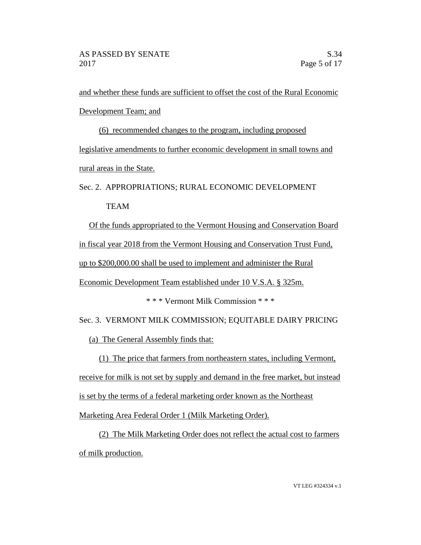and whether these funds are sufficient to offset the cost of the Rural Economic Development Team; and

(6) recommended changes to the program, including proposed legislative amendments to further economic development in small towns and rural areas in the State.

Sec. 2. APPROPRIATIONS; RURAL ECONOMIC DEVELOPMENT

TEAM

Of the funds appropriated to the Vermont Housing and Conservation Board in fiscal year 2018 from the Vermont Housing and Conservation Trust Fund, up to \$200,000.00 shall be used to implement and administer the Rural Economic Development Team established under 10 V.S.A. § 325m.

\* \* \* Vermont Milk Commission \* \* \*

Sec. 3. VERMONT MILK COMMISSION; EQUITABLE DAIRY PRICING

(a) The General Assembly finds that:

(1) The price that farmers from northeastern states, including Vermont,

receive for milk is not set by supply and demand in the free market, but instead

is set by the terms of a federal marketing order known as the Northeast

Marketing Area Federal Order 1 (Milk Marketing Order).

(2) The Milk Marketing Order does not reflect the actual cost to farmers of milk production.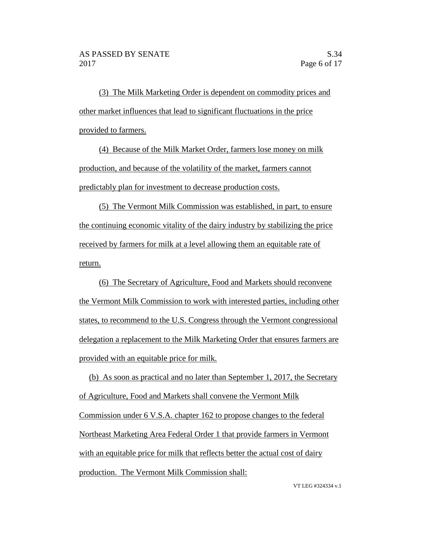(3) The Milk Marketing Order is dependent on commodity prices and other market influences that lead to significant fluctuations in the price provided to farmers.

(4) Because of the Milk Market Order, farmers lose money on milk production, and because of the volatility of the market, farmers cannot predictably plan for investment to decrease production costs.

(5) The Vermont Milk Commission was established, in part, to ensure the continuing economic vitality of the dairy industry by stabilizing the price received by farmers for milk at a level allowing them an equitable rate of return.

(6) The Secretary of Agriculture, Food and Markets should reconvene the Vermont Milk Commission to work with interested parties, including other states, to recommend to the U.S. Congress through the Vermont congressional delegation a replacement to the Milk Marketing Order that ensures farmers are provided with an equitable price for milk.

(b) As soon as practical and no later than September 1, 2017, the Secretary of Agriculture, Food and Markets shall convene the Vermont Milk Commission under 6 V.S.A. chapter 162 to propose changes to the federal Northeast Marketing Area Federal Order 1 that provide farmers in Vermont with an equitable price for milk that reflects better the actual cost of dairy production. The Vermont Milk Commission shall: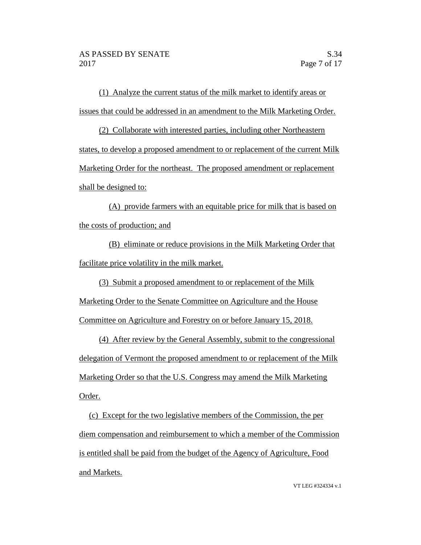(1) Analyze the current status of the milk market to identify areas or issues that could be addressed in an amendment to the Milk Marketing Order.

(2) Collaborate with interested parties, including other Northeastern states, to develop a proposed amendment to or replacement of the current Milk Marketing Order for the northeast. The proposed amendment or replacement shall be designed to:

(A) provide farmers with an equitable price for milk that is based on the costs of production; and

(B) eliminate or reduce provisions in the Milk Marketing Order that facilitate price volatility in the milk market.

(3) Submit a proposed amendment to or replacement of the Milk

Marketing Order to the Senate Committee on Agriculture and the House Committee on Agriculture and Forestry on or before January 15, 2018.

(4) After review by the General Assembly, submit to the congressional delegation of Vermont the proposed amendment to or replacement of the Milk Marketing Order so that the U.S. Congress may amend the Milk Marketing Order.

(c) Except for the two legislative members of the Commission, the per diem compensation and reimbursement to which a member of the Commission is entitled shall be paid from the budget of the Agency of Agriculture, Food and Markets.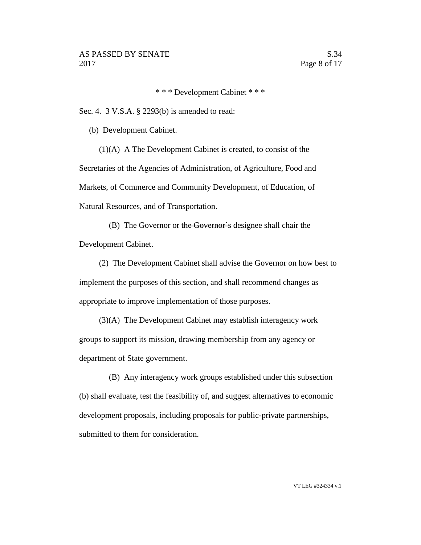\* \* \* Development Cabinet \* \* \*

Sec. 4. 3 V.S.A. § 2293(b) is amended to read:

(b) Development Cabinet.

(1)(A) A The Development Cabinet is created, to consist of the Secretaries of the Agencies of Administration, of Agriculture, Food and Markets, of Commerce and Community Development, of Education, of Natural Resources, and of Transportation.

(B) The Governor or the Governor's designee shall chair the Development Cabinet.

(2) The Development Cabinet shall advise the Governor on how best to implement the purposes of this section, and shall recommend changes as appropriate to improve implementation of those purposes.

 $(3)(A)$  The Development Cabinet may establish interagency work groups to support its mission, drawing membership from any agency or department of State government.

(B) Any interagency work groups established under this subsection (b) shall evaluate, test the feasibility of, and suggest alternatives to economic development proposals, including proposals for public-private partnerships, submitted to them for consideration.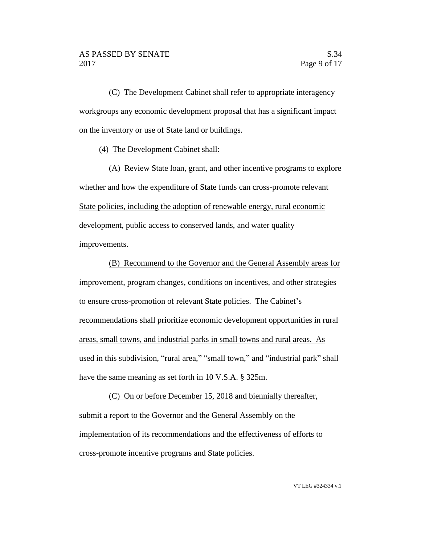(C) The Development Cabinet shall refer to appropriate interagency workgroups any economic development proposal that has a significant impact on the inventory or use of State land or buildings.

(4) The Development Cabinet shall:

(A) Review State loan, grant, and other incentive programs to explore whether and how the expenditure of State funds can cross-promote relevant State policies, including the adoption of renewable energy, rural economic development, public access to conserved lands, and water quality improvements.

(B) Recommend to the Governor and the General Assembly areas for improvement, program changes, conditions on incentives, and other strategies to ensure cross-promotion of relevant State policies. The Cabinet's recommendations shall prioritize economic development opportunities in rural areas, small towns, and industrial parks in small towns and rural areas. As used in this subdivision, "rural area," "small town," and "industrial park" shall have the same meaning as set forth in 10 V.S.A. § 325m.

(C) On or before December 15, 2018 and biennially thereafter, submit a report to the Governor and the General Assembly on the implementation of its recommendations and the effectiveness of efforts to cross-promote incentive programs and State policies.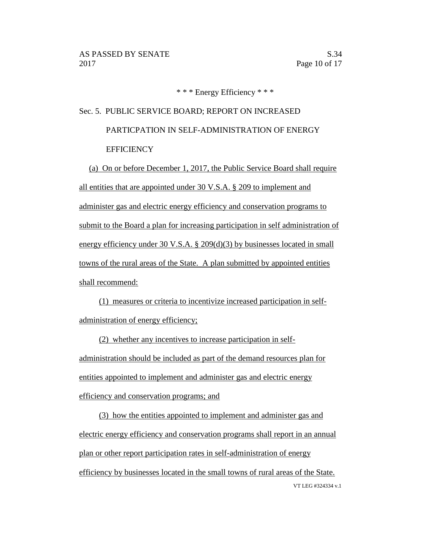\* \* \* Energy Efficiency \* \* \*

# Sec. 5. PUBLIC SERVICE BOARD; REPORT ON INCREASED PARTICPATION IN SELF-ADMINISTRATION OF ENERGY **EFFICIENCY**

(a) On or before December 1, 2017, the Public Service Board shall require all entities that are appointed under 30 V.S.A. § 209 to implement and administer gas and electric energy efficiency and conservation programs to submit to the Board a plan for increasing participation in self administration of energy efficiency under 30 V.S.A. § 209(d)(3) by businesses located in small towns of the rural areas of the State. A plan submitted by appointed entities shall recommend:

(1) measures or criteria to incentivize increased participation in selfadministration of energy efficiency;

(2) whether any incentives to increase participation in selfadministration should be included as part of the demand resources plan for entities appointed to implement and administer gas and electric energy efficiency and conservation programs; and

VT LEG #324334 v.1 (3) how the entities appointed to implement and administer gas and electric energy efficiency and conservation programs shall report in an annual plan or other report participation rates in self-administration of energy efficiency by businesses located in the small towns of rural areas of the State.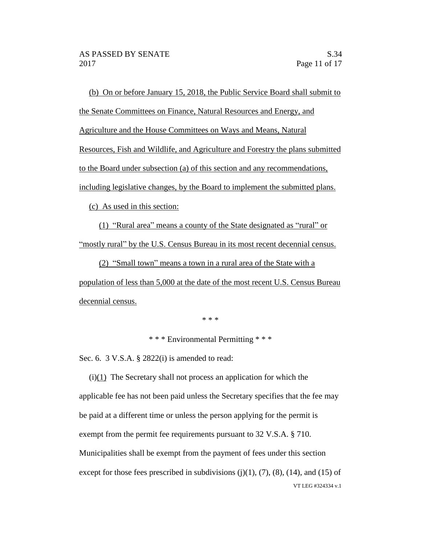(b) On or before January 15, 2018, the Public Service Board shall submit to the Senate Committees on Finance, Natural Resources and Energy, and Agriculture and the House Committees on Ways and Means, Natural Resources, Fish and Wildlife, and Agriculture and Forestry the plans submitted to the Board under subsection (a) of this section and any recommendations, including legislative changes, by the Board to implement the submitted plans.

(c) As used in this section:

(1) "Rural area" means a county of the State designated as "rural" or "mostly rural" by the U.S. Census Bureau in its most recent decennial census.

(2) "Small town" means a town in a rural area of the State with a population of less than 5,000 at the date of the most recent U.S. Census Bureau decennial census.

\* \* \*

\* \* \* Environmental Permitting \* \* \*

Sec. 6. 3 V.S.A. § 2822(i) is amended to read:

VT LEG #324334 v.1 (i)(1) The Secretary shall not process an application for which the applicable fee has not been paid unless the Secretary specifies that the fee may be paid at a different time or unless the person applying for the permit is exempt from the permit fee requirements pursuant to 32 V.S.A. § 710. Municipalities shall be exempt from the payment of fees under this section except for those fees prescribed in subdivisions  $(j)(1)$ ,  $(7)$ ,  $(8)$ ,  $(14)$ , and  $(15)$  of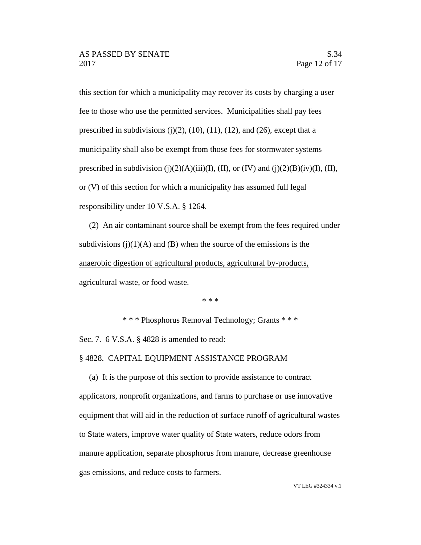this section for which a municipality may recover its costs by charging a user fee to those who use the permitted services. Municipalities shall pay fees prescribed in subdivisions  $(j)(2)$ ,  $(10)$ ,  $(11)$ ,  $(12)$ , and  $(26)$ , except that a municipality shall also be exempt from those fees for stormwater systems prescribed in subdivision (j)(2)(A)(iii)(I), (II), or (IV) and (j)(2)(B)(iv)(I), (II), or (V) of this section for which a municipality has assumed full legal responsibility under 10 V.S.A. § 1264.

(2) An air contaminant source shall be exempt from the fees required under subdivisions  $(j)(1)(A)$  and  $(B)$  when the source of the emissions is the anaerobic digestion of agricultural products, agricultural by-products, agricultural waste, or food waste.

\* \* \*

\* \* \* Phosphorus Removal Technology; Grants \* \* \* Sec. 7. 6 V.S.A. § 4828 is amended to read:

# § 4828. CAPITAL EQUIPMENT ASSISTANCE PROGRAM

(a) It is the purpose of this section to provide assistance to contract applicators, nonprofit organizations, and farms to purchase or use innovative equipment that will aid in the reduction of surface runoff of agricultural wastes to State waters, improve water quality of State waters, reduce odors from manure application, separate phosphorus from manure, decrease greenhouse gas emissions, and reduce costs to farmers.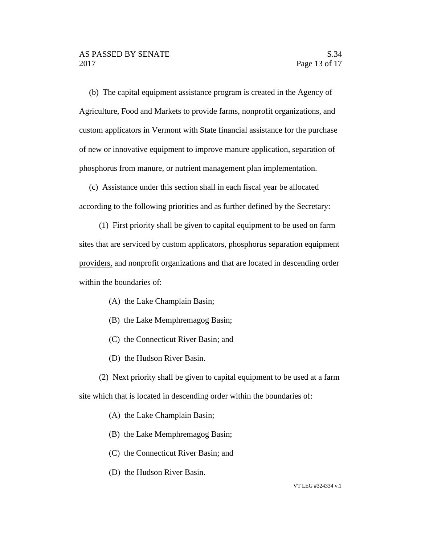(b) The capital equipment assistance program is created in the Agency of Agriculture, Food and Markets to provide farms, nonprofit organizations, and custom applicators in Vermont with State financial assistance for the purchase of new or innovative equipment to improve manure application, separation of phosphorus from manure, or nutrient management plan implementation.

(c) Assistance under this section shall in each fiscal year be allocated according to the following priorities and as further defined by the Secretary:

(1) First priority shall be given to capital equipment to be used on farm sites that are serviced by custom applicators, phosphorus separation equipment providers, and nonprofit organizations and that are located in descending order within the boundaries of:

- (A) the Lake Champlain Basin;
- (B) the Lake Memphremagog Basin;
- (C) the Connecticut River Basin; and
- (D) the Hudson River Basin.

(2) Next priority shall be given to capital equipment to be used at a farm site which that is located in descending order within the boundaries of:

- (A) the Lake Champlain Basin;
- (B) the Lake Memphremagog Basin;
- (C) the Connecticut River Basin; and
- (D) the Hudson River Basin.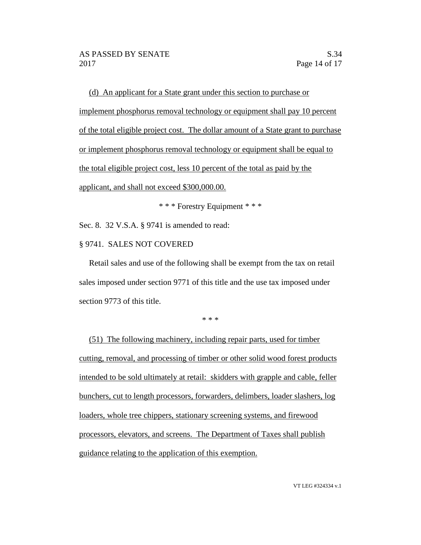(d) An applicant for a State grant under this section to purchase or implement phosphorus removal technology or equipment shall pay 10 percent of the total eligible project cost. The dollar amount of a State grant to purchase or implement phosphorus removal technology or equipment shall be equal to the total eligible project cost, less 10 percent of the total as paid by the applicant, and shall not exceed \$300,000.00.

\* \* \* Forestry Equipment \* \* \*

Sec. 8. 32 V.S.A. § 9741 is amended to read:

### § 9741. SALES NOT COVERED

Retail sales and use of the following shall be exempt from the tax on retail sales imposed under section 9771 of this title and the use tax imposed under section 9773 of this title.

\* \* \*

(51) The following machinery, including repair parts, used for timber cutting, removal, and processing of timber or other solid wood forest products intended to be sold ultimately at retail: skidders with grapple and cable, feller bunchers, cut to length processors, forwarders, delimbers, loader slashers, log loaders, whole tree chippers, stationary screening systems, and firewood processors, elevators, and screens. The Department of Taxes shall publish guidance relating to the application of this exemption.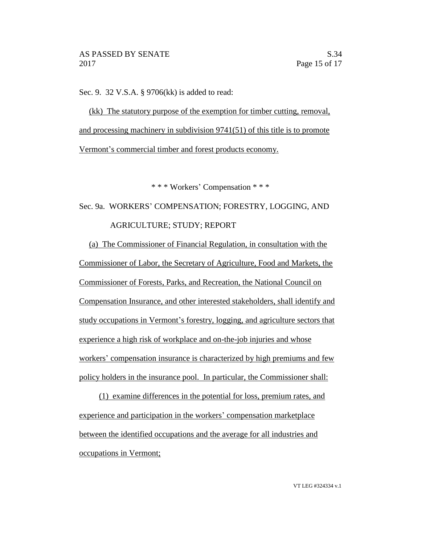Sec. 9. 32 V.S.A. § 9706(kk) is added to read:

(kk) The statutory purpose of the exemption for timber cutting, removal, and processing machinery in subdivision 9741(51) of this title is to promote Vermont's commercial timber and forest products economy.

\* \* \* Workers' Compensation \* \* \*

Sec. 9a. WORKERS' COMPENSATION; FORESTRY, LOGGING, AND AGRICULTURE; STUDY; REPORT

(a) The Commissioner of Financial Regulation, in consultation with the Commissioner of Labor, the Secretary of Agriculture, Food and Markets, the Commissioner of Forests, Parks, and Recreation, the National Council on Compensation Insurance, and other interested stakeholders, shall identify and study occupations in Vermont's forestry, logging, and agriculture sectors that experience a high risk of workplace and on-the-job injuries and whose workers' compensation insurance is characterized by high premiums and few policy holders in the insurance pool. In particular, the Commissioner shall:

(1) examine differences in the potential for loss, premium rates, and experience and participation in the workers' compensation marketplace between the identified occupations and the average for all industries and occupations in Vermont;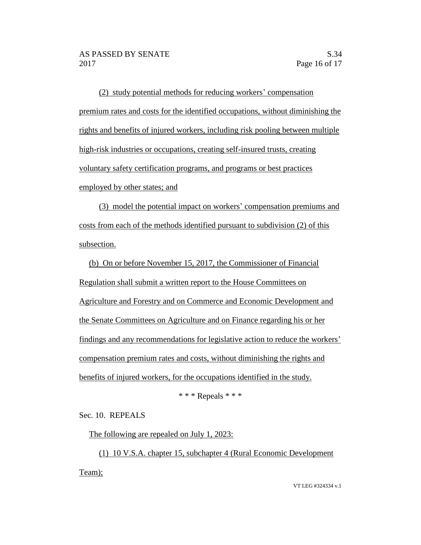(2) study potential methods for reducing workers' compensation premium rates and costs for the identified occupations, without diminishing the rights and benefits of injured workers, including risk pooling between multiple high-risk industries or occupations, creating self-insured trusts, creating voluntary safety certification programs, and programs or best practices employed by other states; and

(3) model the potential impact on workers' compensation premiums and costs from each of the methods identified pursuant to subdivision (2) of this subsection.

(b) On or before November 15, 2017, the Commissioner of Financial Regulation shall submit a written report to the House Committees on Agriculture and Forestry and on Commerce and Economic Development and the Senate Committees on Agriculture and on Finance regarding his or her findings and any recommendations for legislative action to reduce the workers' compensation premium rates and costs, without diminishing the rights and benefits of injured workers, for the occupations identified in the study.

\* \* \* Repeals \* \* \*

Sec. 10. REPEALS

The following are repealed on July 1, 2023:

(1) 10 V.S.A. chapter 15, subchapter 4 (Rural Economic Development Team);